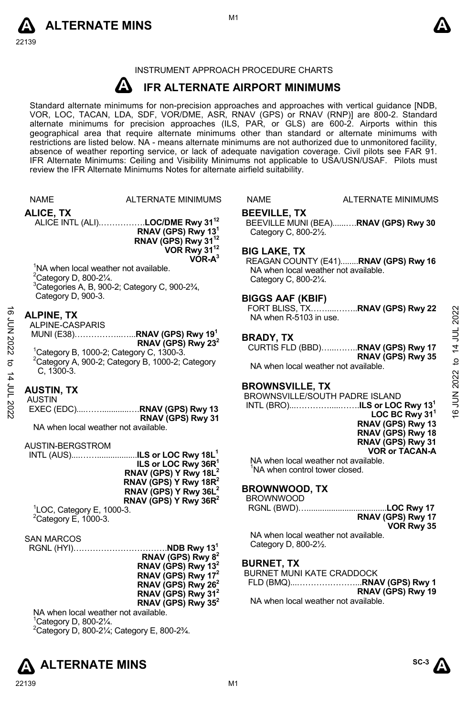



## INSTRUMENT APPROACH PROCEDURE CHARTS

#### **A IFR ALTERNATE AIRPORT MINIMUMS**

Standard alternate minimums for non-precision approaches and approaches with vertical guidance [NDB,<br>VOR, LOC, TACAN, LDA, SDF, VOR/DME, ASR, RNAV (GPS) or RNAV (RNP)] are 800-2. Standard<br>alternate minimums for precision a geographical area that require alternate minimums other than standard or alternate minimums with restrictions are listed below. NA - means alternate minimums are not authorized due to unmonitored facility, absence of weather reporting service, or lack of adequate navigation coverage. Civil pilots see FAR 91. IFR Alternate Minimums: Ceiling and Visibility Minimums not applicable to USA/USN/USAF. Pilots must review the IFR Alternate Minimums Notes for alternate airfield suitability.

|                    | <b>NAME</b>                                       | ALTERNATE MINIMUMS                                                           | <b>NAME</b>             | <b>ALTERNATE MINIMUMS</b>                               |                |
|--------------------|---------------------------------------------------|------------------------------------------------------------------------------|-------------------------|---------------------------------------------------------|----------------|
|                    |                                                   |                                                                              |                         |                                                         |                |
|                    | ALICE, TX                                         |                                                                              | <b>BEEVILLE, TX</b>     |                                                         |                |
|                    |                                                   | ALICE INTL (ALI)LOC/DME Rwy 31 <sup>12</sup>                                 |                         | BEEVILLE MUNI (BEA)RNAV (GPS) Rwy 30                    |                |
|                    |                                                   | RNAV (GPS) Rwy 13 <sup>1</sup><br>RNAV (GPS) Rwy 31 <sup>12</sup>            | Category C, 800-21/2.   |                                                         |                |
|                    |                                                   | VOR Rwy 31 <sup>12</sup>                                                     |                         |                                                         |                |
|                    |                                                   | $VOR-A3$                                                                     | <b>BIG LAKE, TX</b>     | REAGAN COUNTY (E41)RNAV (GPS) Rwy 16                    |                |
|                    | <sup>1</sup> NA when local weather not available. |                                                                              |                         | NA when local weather not available.                    |                |
|                    | <sup>2</sup> Category D, 800-21/4.                |                                                                              | Category C, 800-21/4.   |                                                         |                |
|                    |                                                   | <sup>3</sup> Categories A, B, 900-2; Category C, 900-23/4,                   |                         |                                                         |                |
|                    | Category D, 900-3.                                |                                                                              | <b>BIGGS AAF (KBIF)</b> |                                                         |                |
|                    |                                                   |                                                                              |                         |                                                         |                |
|                    | <b>ALPINE, TX</b><br>ALPINE-CASPARIS              |                                                                              | NA when R-5103 in use.  |                                                         | 2022           |
| <b>16 JUN 2022</b> |                                                   |                                                                              |                         |                                                         |                |
|                    |                                                   | RNAV (GPS) Rwy $23^2$                                                        | <b>BRADY, TX</b>        |                                                         | 14 JUL         |
|                    |                                                   | <sup>1</sup> Category B, 1000-2; Category C, 1300-3.                         |                         | CURTIS FLD (BBD) RNAV (GPS) Rwy 17<br>RNAV (GPS) Rwy 35 |                |
| ಕ                  |                                                   | <sup>2</sup> Category A, 900-2; Category B, 1000-2; Category                 |                         | NA when local weather not available.                    | þ              |
| $\sharp$           | C. 1300-3.                                        |                                                                              |                         |                                                         |                |
|                    |                                                   |                                                                              | <b>BROWNSVILLE, TX</b>  |                                                         | 2022           |
| JUL 2022           | <b>AUSTIN, TX</b><br><b>AUSTIN</b>                |                                                                              |                         | BROWNSVILLE/SOUTH PADRE ISLAND                          | Σ<br>ΕΙ        |
|                    |                                                   | EXEC (EDC)RNAV (GPS) Rwy 13                                                  |                         |                                                         |                |
|                    |                                                   | RNAV (GPS) Rwy 31                                                            |                         | LOC BC Rwy $311$                                        | $\overline{6}$ |
|                    | NA when local weather not available.              |                                                                              |                         | RNAV (GPS) Rwy 13                                       |                |
|                    |                                                   |                                                                              |                         | RNAV (GPS) Rwy 18<br>RNAV (GPS) Rwy 31                  |                |
|                    | AUSTIN-BERGSTROM                                  |                                                                              |                         | <b>VOR or TACAN-A</b>                                   |                |
|                    |                                                   | INTL (AUS)ILS or LOC Rwy 18L <sup>1</sup><br>ILS or LOC Rwy 36R <sup>1</sup> |                         | NA when local weather not available.                    |                |
|                    |                                                   | RNAV (GPS) Y Rwy 18L <sup>2</sup>                                            |                         | <sup>1</sup> NA when control tower closed.              |                |
|                    |                                                   | RNAV (GPS) Y Rwy 18R <sup>2</sup>                                            |                         |                                                         |                |
|                    |                                                   | RNAV (GPS) Y Rwy 36L <sup>2</sup>                                            | <b>BROWNWOOD, TX</b>    |                                                         |                |
|                    |                                                   | RNAV (GPS) Y Rwy $36R^2$                                                     | <b>BROWNWOOD</b>        |                                                         |                |
|                    | <sup>1</sup> LOC, Category E, 1000-3.             |                                                                              |                         | RGNL (BWD)LOC Rwy 17<br>RNAV (GPS) Rwy 17               |                |
|                    | $2$ Category E, 1000-3.                           |                                                                              |                         | VOR Rwy 35                                              |                |
|                    | <b>SAN MARCOS</b>                                 |                                                                              |                         | NA when local weather not available.                    |                |
|                    |                                                   |                                                                              | Category D, 800-21/2.   |                                                         |                |
|                    |                                                   | RNAV (GPS) Rwy 8 <sup>2</sup>                                                |                         |                                                         |                |
|                    |                                                   | RNAV (GPS) Rwy 13 <sup>2</sup>                                               | <b>BURNET, TX</b>       |                                                         |                |
|                    |                                                   | RNAV (GPS) Rwy 17 <sup>2</sup>                                               |                         | <b>BURNET MUNI KATE CRADDOCK</b>                        |                |
|                    |                                                   | RNAV (GPS) Rwy 26 <sup>2</sup>                                               |                         | FLD (BMQ)RNAV (GPS) Rwy 1<br>RNAV (GPS) Rwy 19          |                |
|                    |                                                   | RNAV (GPS) Rwy 31 <sup>2</sup>                                               |                         | NA when local weather not available.                    |                |
|                    | NA when local weather not available.              | RNAV (GPS) Rwy $35^2$                                                        |                         |                                                         |                |
|                    | $10$ at a $\mu$ and $\mu$ 000.01/                 |                                                                              |                         |                                                         |                |

Category D, 800-2¼.

 $^{2}$ Category D, 800-21⁄4; Category E, 800-23⁄4.



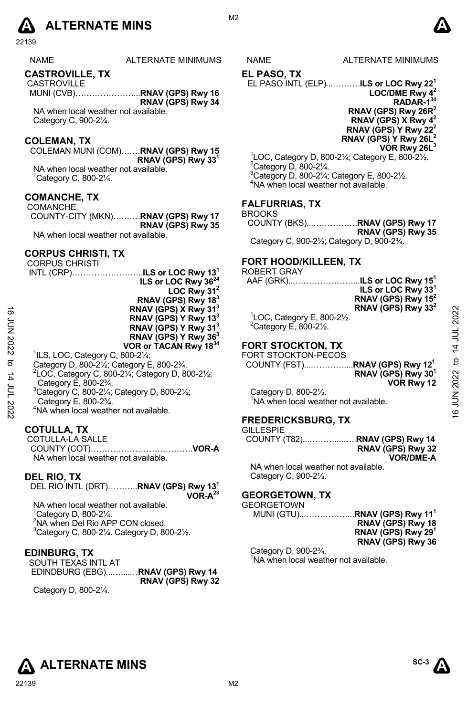

22139

NAME ALTERNATE MINIMUMS NAME ALTERNATE MINIMUMS

#### **CASTROVILLE, TX**

 CASTROVILLE MUNI (CVB)…………………...**RNAV (GPS) Rwy 16 RNAV (GPS) Rwy 34** 

NA when local weather not available. Category C, 900-2¼.

#### **COLEMAN, TX**

COLEMAN MUNI (COM)…….**RNAV (GPS) Rwy 15 RNAV (GPS) Rwy 331** 

NA when local weather not available. 1 Category C, 800-2¼.

#### **COMANCHE, TX**

 COMANCHE COUNTY-CITY (MKN)……….**RNAV (GPS) Rwy 17 RNAV (GPS) Rwy 35**  NA when local weather not available.

#### **CORPUS CHRISTI, TX**

|                    | <b>CORPUS CHRISTI</b>                                                                   | FORT HOOD/KILLEEN. TX                            |          |
|--------------------|-----------------------------------------------------------------------------------------|--------------------------------------------------|----------|
|                    |                                                                                         | <b>ROBERT GRAY</b>                               |          |
|                    | ILS or LOC Rwy 36 <sup>24</sup>                                                         | ILS or LOC Rwy 15 $^{\rm h}$<br>AAF (GRK)        |          |
|                    | LOC Rwy $31^2$                                                                          | ILS or LOC Rwy 33 <sup>1</sup>                   |          |
|                    | RNAV (GPS) Rwy 18 <sup>3</sup>                                                          | RNAV (GPS) Rwy 15 <sup>2</sup>                   |          |
| ಹೆ                 | RNAV (GPS) X Rwy 31 <sup>3</sup>                                                        | RNAV (GPS) Rwy 33 <sup>2</sup>                   |          |
|                    | RNAV (GPS) Y Rwy 13 <sup>3</sup>                                                        | $\degree$ LOC, Category E, 800-2 $\frac{1}{2}$ . | 2022     |
|                    | RNAV (GPS) Y Rwy 31 <sup>3</sup>                                                        | $2$ Category E, 800-2 $\frac{1}{2}$ .            |          |
|                    | RNAV (GPS) Y Rwy 36 <sup>3</sup>                                                        |                                                  |          |
| 70N 2022           | VOR or TACAN Rwy 1834                                                                   | <b>FORT STOCKTON, TX</b>                         | 14 JUL   |
|                    | $^1$ ILS, LOC, Category C, 800-2 $\frac{1}{4}$ ;                                        | FORT STOCKTON-PECOS                              |          |
| ಕ                  | Category D, 800-21/ <sub>2</sub> ; Category E, 800-23/4.                                |                                                  | đ        |
|                    | <sup>2</sup> LOC, Category C, 800-21/ <sub>4</sub> ; Category D, 800-21/ <sub>2</sub> ; | RNAV (GPS) Rwy 30 <sup>1</sup>                   |          |
|                    | Category E, 800-2 <sup>3</sup> / <sub>4</sub> .                                         | VOR Rwy 12                                       |          |
| וחר <del>ג</del> ו | <sup>3</sup> Category C, 800-21/4; Category D, 800-21/2;                                | Category D, 800-21/2.                            | JUN 2022 |
|                    | Category E, 800-23/4.                                                                   | NA when local weather not available.             |          |
| -2022              | <sup>4</sup> NA when local weather not available.                                       |                                                  |          |
|                    |                                                                                         | ---------------                                  | ۿ        |

- Category D, 800-2½; Category E, 800-2¾.
- LOC, Category C, 800-2 $\frac{1}{4}$ ; Category D, 800-2 $\frac{1}{2}$ ; Category E, 800-2¾.
- 
- $3$ Category C, 800-21⁄<sub>4</sub>; Category D, 800-21⁄<sub>2</sub>; Category E, 800-2¾.
- 4 NA when local weather not available.

#### **COTULLA, TX**

 COTULLA-LA SALLE COUNTY (COT)……………………………….**VOR-A**  NA when local weather not available.

#### **DEL RIO, TX**

DEL RIO INTL (DRT)………..**RNAV (GPS) Rwy 131** 

**VOR-A23**

NA when local weather not available. Category D, 800-2¼. NA when Del Rio APP CON closed. Category C, 800-2 $\frac{1}{4}$ . Category D, 800-2 $\frac{1}{2}$ .

## **EDINBURG, TX**

SOUTH TEXAS INTL AT EDINDBURG (EBG)...…....…**RNAV (GPS) Rwy 14 RNAV (GPS) Rwy 32** 

Category D, 800-2¼.

#### **EL PASO, TX**

EL PASO INTL (ELP)...……….**ILS or LOC Rwy 221 LOC/DME Rwy 42 RADAR-134** 

**RNAV (GPS) Rwy 26R2 RNAV (GPS) X Rwy 42 RNAV (GPS) Y Rwy 222 RNAV (GPS) Y Rwy 26L2** 

**VOR Rwy 26L3**

 $^{1}$ LOC, Category D, 800-21⁄<sub>4</sub>; Category E, 800-21⁄<sub>2</sub>. Category D, 800-2¼. 3 Category D, 800-2¼; Category E, 800-2½. 4 NA when local weather not available.

#### **FALFURRIAS, TX**

```
BROOKS
```
COUNTY (BKS)...…………….**RNAV (GPS) Rwy 17 RNAV (GPS) Rwy 35** 

Category C, 900-2½; Category D, 900-2¾.

#### **FORT HOOD/KILLEEN, TX**

# ROBERT GRAY<br>AAF (GRK)

| AAF (GRK)………………… <b>LS or LOC Rwy 15<sup>1</sup></b> |                                |
|------------------------------------------------------|--------------------------------|
|                                                      | ILS or LOC Rwy 33 <sup>1</sup> |
|                                                      | RNAV (GPS) Rwy $15^2$          |
|                                                      | RNAV (GPS) Rwy 33 <sup>2</sup> |
| ${}^{1}_{2}$ LOC, Category E, 800-2 $\frac{1}{2}$ .  |                                |
| $2Cother = C0 = 0.0024$                              |                                |

## **FORT STOCKTON, TX**

#### **FREDERICKSBURG, TX**  GILLESPIE

| UILLEOFIE |                   |
|-----------|-------------------|
|           |                   |
|           | RNAV (GPS) Rwy 32 |
|           | <b>VOR/DME-A</b>  |

NA when local weather not available. Category C, 900-2½.

### **GEORGETOWN, TX**

#### **GEORGETOWN**

### MUNI (GTU)...……………...**RNAV (GPS) Rwy 111**

**RNAV (GPS) Rwy 18 RNAV (GPS) Rwy 291 RNAV (GPS) Rwy 36** 

#### Category D, 900-2¾. <sup>1</sup>NA when local weather not available.

**ALTERNATE MINS** And  $\overline{S^{C-3}}$   $\overline{A}$ 

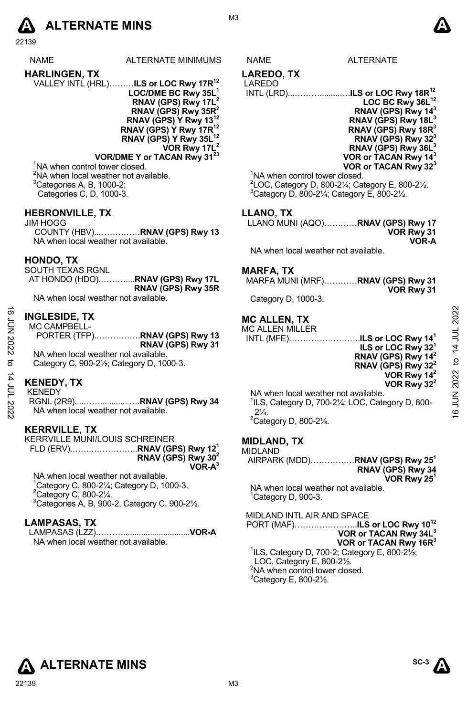# **A** ALTERNATE MINS  $\bullet$

22139

- NAME ALTERNATE MINIMUMS NAME ALTERNATE
- **HARLINGEN, TX**  VALLEY INTL (HRL)………**ILS or LOC Rwy 17R12 LOC/DME BC Rwy 35L1 RNAV (GPS) Rwy 17L2 RNAV (GPS) Rwy 35R2 RNAV (GPS) Y Rwy 13 RNAV (GPS) Y Rwy 17R12** 
	- **RNAV (GPS) Y Rwy 35L12 VOR Rwy 17L2**

**VOR/DME Y or TACAN Rwy 3123** <sup>1</sup>NA when control tower closed. <sup>2</sup>NA when local weather not available.  ${}^{3}$ Categories A, B, 1000-2;

Categories C, D, 1000-3.

#### **HEBRONVILLE, TX**

JIM HOGG COUNTY (HBV)..……………**RNAV (GPS) Rwy 13**  NA when local weather not available.

#### **HONDO, TX**

SOUTH TEXAS RGNL AT HONDO (HDO).………....**RNAV (GPS) Rwy 17L RNAV (GPS) Rwy 35R**  NA when local weather not available.

## **INGLESIDE, TX**

MC CAMPBELL-PORTER (TFP).…………….**RNAV (GPS) Rwy 13 RNAV (GPS) Rwy 31**  NA when local weather not available. Category C, 900-2½; Category D, 1000-3.

## **KENEDY, TX**

KENEDY

RGNL (2R9)....…….............….**RNAV (GPS) Rwy 34**  NA when local weather not available.

#### **KERRVILLE, TX**

KERRVILLE MUNI/LOUIS SCHREINER FLD (ERV).…….……………..**RNAV (GPS) Rwy 121 RNAV (GPS) Rwy 302 VOR-A3**

NA when local weather not available. 1 Category C, 800-2¼; Category D, 1000-3.  $2$ Category C, 800-2 $\frac{1}{4}$ .

 $3$ Categories A, B, 900-2, Category C, 900-2 $\frac{1}{2}$ .

#### **LAMPASAS, TX**

LAMPASAS (LZZ).………..............................**VOR-A**  NA when local weather not available.

#### **LAREDO, TX**  LAREDO

INTL (LRD)...……….........….**ILS or LOC Rwy 18R12** LOC BC Rwy 36L<sup>12</sup> **RNAV (GPS) Rwy 143 RNAV (GPS) Rwy 18L3 RNAV (GPS) Rwy 18R3 RNAV (GPS) Rwy 323 RNAV (GPS) Rwy 36L3 VOR or TACAN Rwy 143 VOR or TACAN Rwy 323**

<sup>1</sup>NA when control tower closed.

 $^{2}$ LOC, Category D, 800-2¼; Category E, 800-2½.  $3$ Category D, 800-21⁄<sub>4</sub>; Category E, 800-21⁄<sub>2</sub>.

#### **LLANO, TX**

LLANO MUNI (AQO)…………**RNAV (GPS) Rwy 17 VOR Rwy 31 VOR-A** 

NA when local weather not available.

#### **MARFA, TX**

MARFA MUNI (MRF)…………**RNAV (GPS) Rwy 31 VOR Rwy 31** 

Category D, 1000-3.

## **MC ALLEN, TX**

MC ALLEN MILLER INTL (MFE)……………………..**ILS or LOC Rwy 141 ILS or LOC Rwy 321 RNAV (GPS) Rwy 142 RNAV (GPS) Rwy 322 VOR Rwy 142**  16 JUN 2022 to 14 JUL 202216 JUN 2022 to 14 JUL 2022

**VOR Rwy 322** 

NA when local weather not available. 1 ILS, Category D, 700-2¼; LOC, Category D, 800-  $2\frac{1}{4}$ .  $2$ Category D, 800-2 $\frac{1}{4}$ .

#### **MIDLAND, TX**

| MIDLAND |  |  |  |  |  |
|---------|--|--|--|--|--|
|         |  |  |  |  |  |

MIDLAND AIRPARK (MDD)…………….**RNAV (GPS) Rwy 251 RNAV (GPS) Rwy 34 VOR Rwy 251**  NA when local weather not available. <sup>1</sup>Category D, 900-3.

MIDLAND INTL AIR AND SPACE PORT (MAF)…………………..**ILS or LOC Rwy 1012**

**VOR or TACAN Rwy 34L3**

**VOR or TACAN Rwy 16R3** 1 ILS, Category D, 700-2; Category E, 800-2½; LOC, Category E, 800-2½. <sup>2</sup>NA when control tower closed.  $3$ Category E, 800-2 $\frac{1}{2}$ .

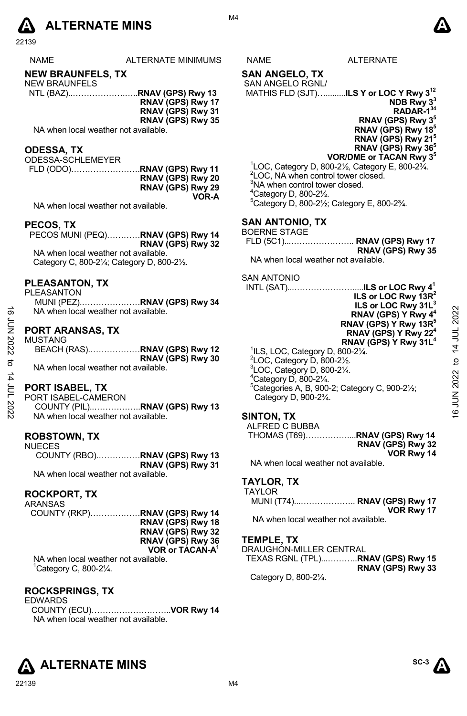

22139

| TERNATE MINIMUMS | ١M |  |
|------------------|----|--|
|                  |    |  |

## **NEW BRAUNFELS, TX**

- NEW BRAUNFELS NTL (BAZ)..……………….…..**RNAV (GPS) Rwy 13 RNAV (GPS) Rwy 17** 
	- **RNAV (GPS) Rwy 31** 
		- **RNAV (GPS) Rwy 35**
	- NA when local weather not available.

#### **ODESSA, TX**

ODESSA-SCHLEMEYER FLD (ODO)…………………….**RNAV (GPS) Rwy 11 RNAV (GPS) Rwy 20 RNAV (GPS) Rwy 29 VOR-A** 

NA when local weather not available.

#### **PECOS, TX**

PECOS MUNI (PEQ)…………**RNAV (GPS) Rwy 14 RNAV (GPS) Rwy 32**  NA when local weather not available. Category C, 800-2¼; Category D, 800-2½.

#### **PLEASANTON, TX**

- PLEASANTON
	- MUNI (PEZ).…………………**RNAV (GPS) Rwy 34**  NA when local weather not available.

#### **PORT ARANSAS, TX**

| MUSTANG                              |                              |
|--------------------------------------|------------------------------|
|                                      | BEACH (RAS)RNAV (GPS) Rwy 12 |
|                                      | RNAV (GPS) Rwy 30            |
| NA when local weather not available. |                              |

# **PORT ISABEL, TX**

- PORT ISABEL-CAMERON
- COUNTY (PIL)..……………..**RNAV (GPS) Rwy 13**  NA when local weather not available.

#### **ROBSTOWN, TX**  NUECES

| ບ∟ບ∟ບ                                |                   |
|--------------------------------------|-------------------|
| COUNTY (RBO)RNAV (GPS) Rwy 13        |                   |
|                                      | RNAV (GPS) Rwy 31 |
| NA when local weather not available. |                   |

#### **ROCKPORT, TX**

| ARANSAS                              |                               |
|--------------------------------------|-------------------------------|
|                                      | COUNTY (RKP)RNAV (GPS) Rwy 14 |
|                                      | RNAV (GPS) Rwy 18             |
|                                      | RNAV (GPS) Rwy 32             |
|                                      | RNAV (GPS) Rwy 36             |
|                                      | VOR or TACAN-A <sup>1</sup>   |
| NA when local weather not available. |                               |

1 Category C, 800-2¼.

#### **ROCKSPRINGS, TX**

EDWARDS COUNTY (ECU)………………………..**VOR Rwy 14**  NA when local weather not available.



# **SAN ANGELO, TX**

#### SAN ANGELO RGNL/ MATHIS FLD (SJT)….........**ILS Y or LOC Y Rwy 312**

**NDB Rwy 33 RADAR-134 RNAV (GPS) Rwy 35 RNAV (GPS) Rwy 185 RNAV (GPS) Rwy 215 RNAV (GPS) Rwy 365 VOR/DME or TACAN Rwy 35**

 $1$ LOC, Category D, 800-2 $\frac{1}{2}$ , Category E, 800-2 $\frac{3}{4}$ . <sup>2</sup>LOC, NA when control tower closed. <sup>3</sup>NA when control tower closed. 4 Category D, 800-2½. 5 Category D, 800-2½; Category E, 800-2¾.

# **SAN ANTONIO, TX**

| BOERNE STAGE |                   |
|--------------|-------------------|
|              |                   |
|              | RNAV (GPS) Rwy 35 |

NA when local weather not available.

#### SAN ANTONIO

| ಹೆ             | PLEASANIUN.IX<br><b>PLEASANTON</b><br>MUNI (PEZ)RNAV (GPS) Rwy 34<br>NA when local weather not available. | INTL (SAT)ILS or LOC Rwy 4 <sup>1</sup><br>ILS or LOC Rwy $13R^2$<br>ILS or LOC Rwy 31L <sup>3</sup><br>RNAV (GPS) Y Rwy 4 <sup>4</sup>                                                   | 2022    |
|----------------|-----------------------------------------------------------------------------------------------------------|-------------------------------------------------------------------------------------------------------------------------------------------------------------------------------------------|---------|
| Ξ<br>Ξ<br>2022 | <b>PORT ARANSAS, TX</b><br><b>MUSTANG</b>                                                                 | RNAV (GPS) Y Rwy 13R <sup>5</sup><br>RNAV (GPS) Y Rwy 22 <sup>4</sup><br>RNAV (GPS) Y Rwy 31L <sup>4</sup>                                                                                | 14 JUL  |
| ನ<br>4         | RNAV (GPS) Rwy 30<br>NA when local weather not available.                                                 | ${}^{1}$ ILS, LOC, Category D, 800-2 $\frac{1}{4}$ .<br>$2$ LOC, Category D, 800-2 $\frac{1}{2}$ .<br>$3$ LOC, Category D, 800-2 $\frac{1}{4}$ .<br>$4$ Category D, 800-2 $\frac{1}{4}$ . | ₫       |
| 2007 דחי       | <b>PORT ISABEL, TX</b><br>PORT ISABEL-CAMERON                                                             | <sup>5</sup> Categories A, B, 900-2; Category C, 900-21/ <sub>2</sub> ;<br>Category D, 900-2 <sup>3</sup> / <sub>4</sub> .                                                                | JN 2022 |
|                | NA when local weather not available.                                                                      | SINTON TX                                                                                                                                                                                 |         |

#### **SINTON, TX**

| ALFRED C BUBBA |                   |
|----------------|-------------------|
|                |                   |
|                | RNAV (GPS) Rwy 32 |
|                | VOR Rwy 14        |

NA when local weather not available.

#### **TAYLOR, TX**  TAYLOR

| AILUR                                |            |
|--------------------------------------|------------|
| MUNI (T74) RNAV (GPS) Rwy 17         |            |
|                                      | VOR Rwy 17 |
| NA when local weather not available. |            |

**TEMPLE, TX** 

DRAUGHON-MILLER CENTRAL TEXAS RGNL (TPL)...………..**RNAV (GPS) Rwy 15 RNAV (GPS) Rwy 33**  Category D, 800-2¼.